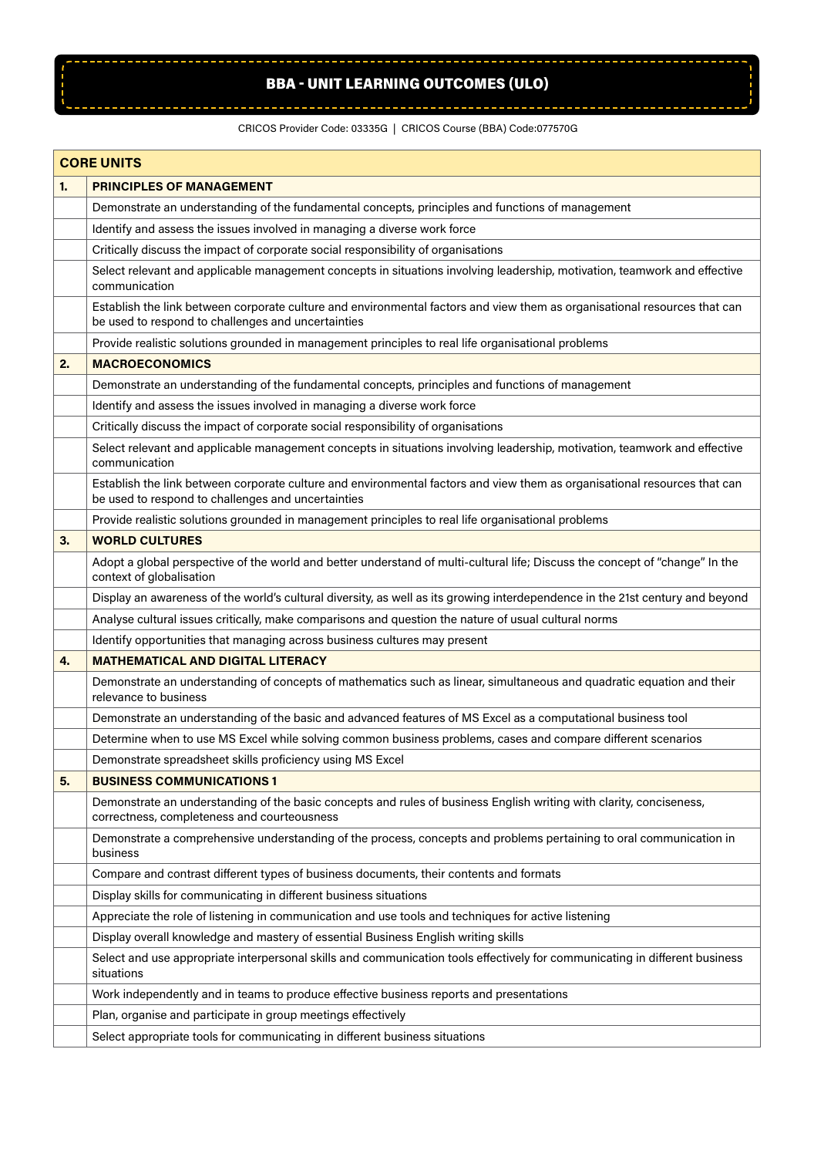## BBA - UNIT LEARNING OUTCOMES (ULO)

## CRICOS Provider Code: 03335G | CRICOS Course (BBA) Code:077570G

 $\sqrt{2}$ 

|    | <b>CORE UNITS</b>                                                                                                                                                               |
|----|---------------------------------------------------------------------------------------------------------------------------------------------------------------------------------|
| 1. | <b>PRINCIPLES OF MANAGEMENT</b>                                                                                                                                                 |
|    | Demonstrate an understanding of the fundamental concepts, principles and functions of management                                                                                |
|    | Identify and assess the issues involved in managing a diverse work force                                                                                                        |
|    | Critically discuss the impact of corporate social responsibility of organisations                                                                                               |
|    | Select relevant and applicable management concepts in situations involving leadership, motivation, teamwork and effective<br>communication                                      |
|    | Establish the link between corporate culture and environmental factors and view them as organisational resources that can<br>be used to respond to challenges and uncertainties |
|    | Provide realistic solutions grounded in management principles to real life organisational problems                                                                              |
| 2. | <b>MACROECONOMICS</b>                                                                                                                                                           |
|    | Demonstrate an understanding of the fundamental concepts, principles and functions of management                                                                                |
|    | Identify and assess the issues involved in managing a diverse work force                                                                                                        |
|    | Critically discuss the impact of corporate social responsibility of organisations                                                                                               |
|    | Select relevant and applicable management concepts in situations involving leadership, motivation, teamwork and effective<br>communication                                      |
|    | Establish the link between corporate culture and environmental factors and view them as organisational resources that can<br>be used to respond to challenges and uncertainties |
|    | Provide realistic solutions grounded in management principles to real life organisational problems                                                                              |
| 3. | <b>WORLD CULTURES</b>                                                                                                                                                           |
|    | Adopt a global perspective of the world and better understand of multi-cultural life; Discuss the concept of "change" In the<br>context of globalisation                        |
|    | Display an awareness of the world's cultural diversity, as well as its growing interdependence in the 21st century and beyond                                                   |
|    | Analyse cultural issues critically, make comparisons and question the nature of usual cultural norms                                                                            |
|    | Identify opportunities that managing across business cultures may present                                                                                                       |
| 4. | <b>MATHEMATICAL AND DIGITAL LITERACY</b>                                                                                                                                        |
|    | Demonstrate an understanding of concepts of mathematics such as linear, simultaneous and quadratic equation and their<br>relevance to business                                  |
|    | Demonstrate an understanding of the basic and advanced features of MS Excel as a computational business tool                                                                    |
|    | Determine when to use MS Excel while solving common business problems, cases and compare different scenarios                                                                    |
|    | Demonstrate spreadsheet skills proficiency using MS Excel                                                                                                                       |
| 5. | <b>BUSINESS COMMUNICATIONS 1</b>                                                                                                                                                |
|    | Demonstrate an understanding of the basic concepts and rules of business English writing with clarity, conciseness,<br>correctness, completeness and courteousness              |
|    | Demonstrate a comprehensive understanding of the process, concepts and problems pertaining to oral communication in<br>business                                                 |
|    | Compare and contrast different types of business documents, their contents and formats                                                                                          |
|    | Display skills for communicating in different business situations                                                                                                               |
|    | Appreciate the role of listening in communication and use tools and techniques for active listening                                                                             |
|    | Display overall knowledge and mastery of essential Business English writing skills                                                                                              |
|    | Select and use appropriate interpersonal skills and communication tools effectively for communicating in different business<br>situations                                       |
|    | Work independently and in teams to produce effective business reports and presentations                                                                                         |
|    | Plan, organise and participate in group meetings effectively                                                                                                                    |
|    | Select appropriate tools for communicating in different business situations                                                                                                     |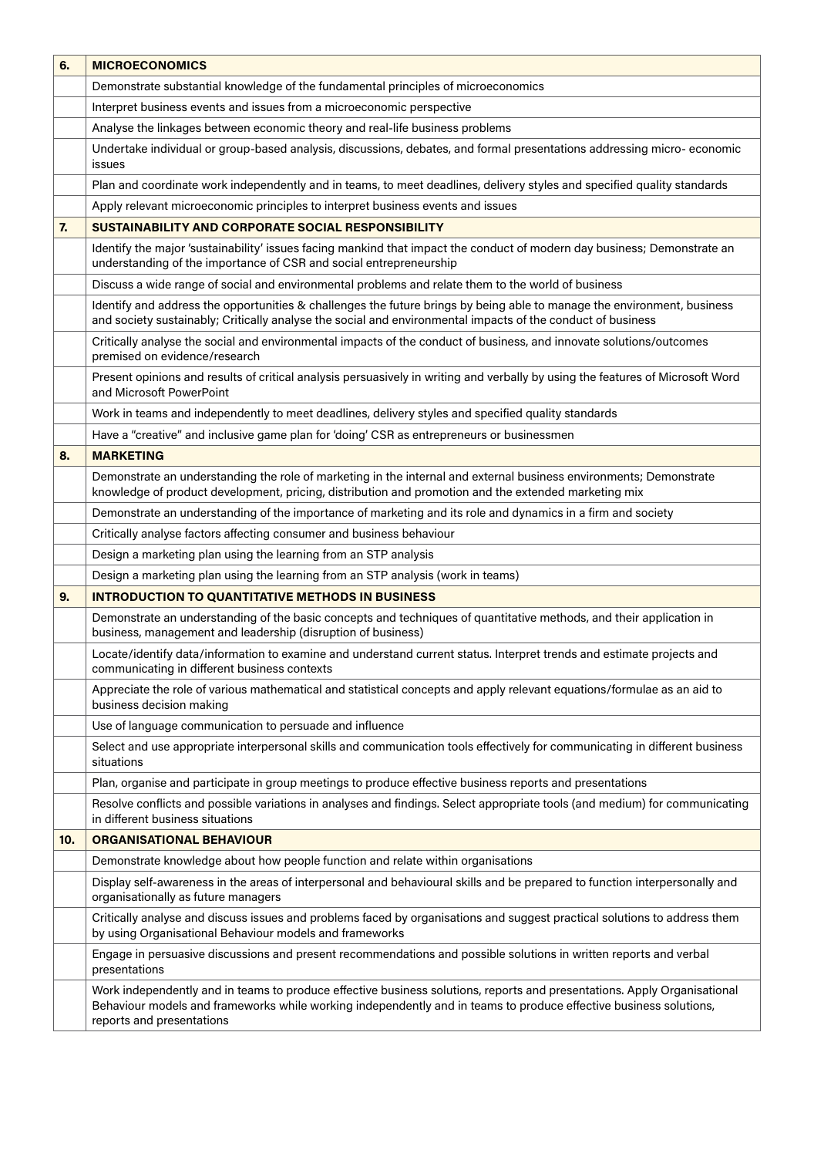| 6.  | <b>MICROECONOMICS</b>                                                                                                                                                                                                                                                      |
|-----|----------------------------------------------------------------------------------------------------------------------------------------------------------------------------------------------------------------------------------------------------------------------------|
|     | Demonstrate substantial knowledge of the fundamental principles of microeconomics                                                                                                                                                                                          |
|     | Interpret business events and issues from a microeconomic perspective                                                                                                                                                                                                      |
|     | Analyse the linkages between economic theory and real-life business problems                                                                                                                                                                                               |
|     | Undertake individual or group-based analysis, discussions, debates, and formal presentations addressing micro-economic<br>issues                                                                                                                                           |
|     | Plan and coordinate work independently and in teams, to meet deadlines, delivery styles and specified quality standards                                                                                                                                                    |
|     | Apply relevant microeconomic principles to interpret business events and issues                                                                                                                                                                                            |
| 7.  | SUSTAINABILITY AND CORPORATE SOCIAL RESPONSIBILITY                                                                                                                                                                                                                         |
|     | Identify the major 'sustainability' issues facing mankind that impact the conduct of modern day business; Demonstrate an<br>understanding of the importance of CSR and social entrepreneurship                                                                             |
|     | Discuss a wide range of social and environmental problems and relate them to the world of business                                                                                                                                                                         |
|     | Identify and address the opportunities & challenges the future brings by being able to manage the environment, business<br>and society sustainably; Critically analyse the social and environmental impacts of the conduct of business                                     |
|     | Critically analyse the social and environmental impacts of the conduct of business, and innovate solutions/outcomes<br>premised on evidence/research                                                                                                                       |
|     | Present opinions and results of critical analysis persuasively in writing and verbally by using the features of Microsoft Word<br>and Microsoft PowerPoint                                                                                                                 |
|     | Work in teams and independently to meet deadlines, delivery styles and specified quality standards                                                                                                                                                                         |
|     | Have a "creative" and inclusive game plan for 'doing' CSR as entrepreneurs or businessmen                                                                                                                                                                                  |
| 8.  | <b>MARKETING</b>                                                                                                                                                                                                                                                           |
|     | Demonstrate an understanding the role of marketing in the internal and external business environments; Demonstrate<br>knowledge of product development, pricing, distribution and promotion and the extended marketing mix                                                 |
|     | Demonstrate an understanding of the importance of marketing and its role and dynamics in a firm and society                                                                                                                                                                |
|     | Critically analyse factors affecting consumer and business behaviour                                                                                                                                                                                                       |
|     | Design a marketing plan using the learning from an STP analysis                                                                                                                                                                                                            |
|     | Design a marketing plan using the learning from an STP analysis (work in teams)                                                                                                                                                                                            |
| 9.  | <b>INTRODUCTION TO QUANTITATIVE METHODS IN BUSINESS</b>                                                                                                                                                                                                                    |
|     | Demonstrate an understanding of the basic concepts and techniques of quantitative methods, and their application in<br>business, management and leadership (disruption of business)                                                                                        |
|     | Locate/identify data/information to examine and understand current status. Interpret trends and estimate projects and<br>communicating in different business contexts                                                                                                      |
|     | Appreciate the role of various mathematical and statistical concepts and apply relevant equations/formulae as an aid to<br>business decision making                                                                                                                        |
|     | Use of language communication to persuade and influence                                                                                                                                                                                                                    |
|     | Select and use appropriate interpersonal skills and communication tools effectively for communicating in different business<br>situations                                                                                                                                  |
|     | Plan, organise and participate in group meetings to produce effective business reports and presentations                                                                                                                                                                   |
|     | Resolve conflicts and possible variations in analyses and findings. Select appropriate tools (and medium) for communicating<br>in different business situations                                                                                                            |
| 10. | <b>ORGANISATIONAL BEHAVIOUR</b>                                                                                                                                                                                                                                            |
|     | Demonstrate knowledge about how people function and relate within organisations                                                                                                                                                                                            |
|     | Display self-awareness in the areas of interpersonal and behavioural skills and be prepared to function interpersonally and<br>organisationally as future managers                                                                                                         |
|     | Critically analyse and discuss issues and problems faced by organisations and suggest practical solutions to address them<br>by using Organisational Behaviour models and frameworks                                                                                       |
|     | Engage in persuasive discussions and present recommendations and possible solutions in written reports and verbal<br>presentations                                                                                                                                         |
|     | Work independently and in teams to produce effective business solutions, reports and presentations. Apply Organisational<br>Behaviour models and frameworks while working independently and in teams to produce effective business solutions,<br>reports and presentations |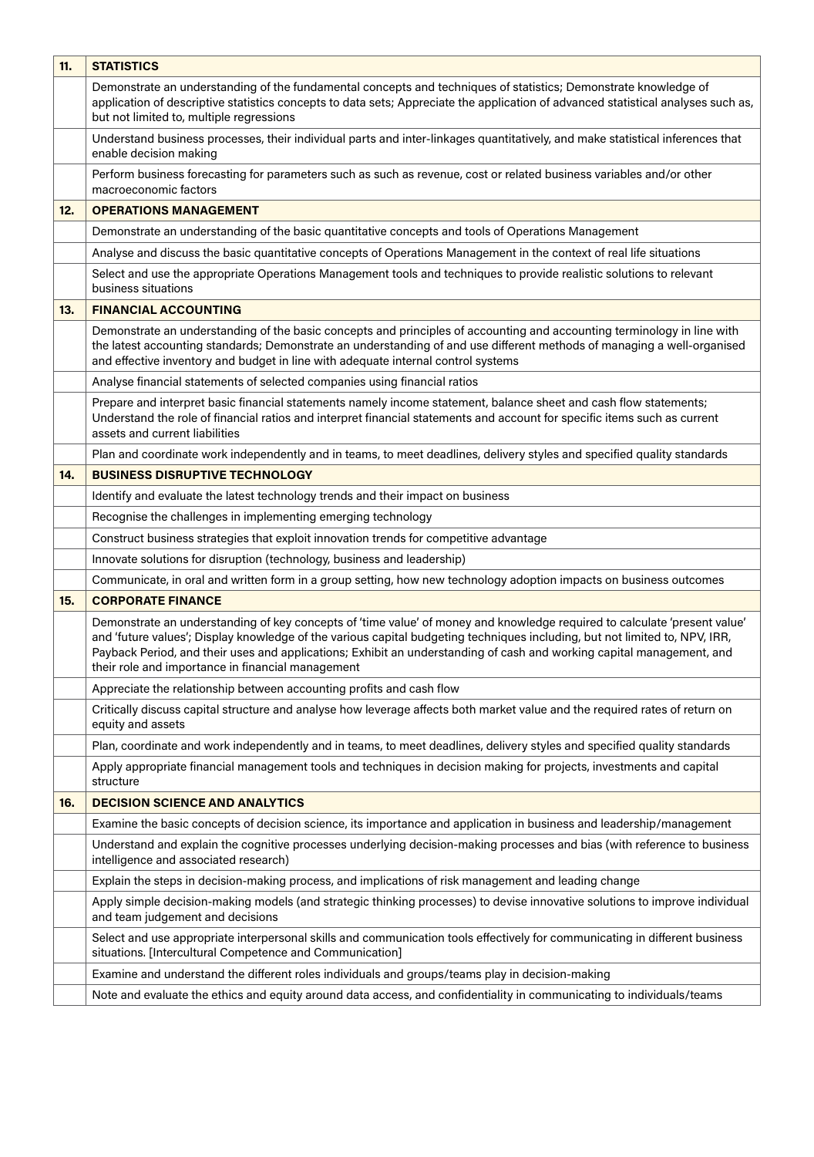| 11. | <b>STATISTICS</b>                                                                                                                                                                                                                                                                                                                                                                                                                      |
|-----|----------------------------------------------------------------------------------------------------------------------------------------------------------------------------------------------------------------------------------------------------------------------------------------------------------------------------------------------------------------------------------------------------------------------------------------|
|     | Demonstrate an understanding of the fundamental concepts and techniques of statistics; Demonstrate knowledge of<br>application of descriptive statistics concepts to data sets; Appreciate the application of advanced statistical analyses such as,<br>but not limited to, multiple regressions                                                                                                                                       |
|     | Understand business processes, their individual parts and inter-linkages quantitatively, and make statistical inferences that<br>enable decision making                                                                                                                                                                                                                                                                                |
|     | Perform business forecasting for parameters such as such as revenue, cost or related business variables and/or other<br>macroeconomic factors                                                                                                                                                                                                                                                                                          |
| 12. | <b>OPERATIONS MANAGEMENT</b>                                                                                                                                                                                                                                                                                                                                                                                                           |
|     | Demonstrate an understanding of the basic quantitative concepts and tools of Operations Management                                                                                                                                                                                                                                                                                                                                     |
|     | Analyse and discuss the basic quantitative concepts of Operations Management in the context of real life situations                                                                                                                                                                                                                                                                                                                    |
|     | Select and use the appropriate Operations Management tools and techniques to provide realistic solutions to relevant<br>business situations                                                                                                                                                                                                                                                                                            |
| 13. | <b>FINANCIAL ACCOUNTING</b>                                                                                                                                                                                                                                                                                                                                                                                                            |
|     | Demonstrate an understanding of the basic concepts and principles of accounting and accounting terminology in line with<br>the latest accounting standards; Demonstrate an understanding of and use different methods of managing a well-organised<br>and effective inventory and budget in line with adequate internal control systems                                                                                                |
|     | Analyse financial statements of selected companies using financial ratios                                                                                                                                                                                                                                                                                                                                                              |
|     | Prepare and interpret basic financial statements namely income statement, balance sheet and cash flow statements;<br>Understand the role of financial ratios and interpret financial statements and account for specific items such as current<br>assets and current liabilities                                                                                                                                                       |
|     | Plan and coordinate work independently and in teams, to meet deadlines, delivery styles and specified quality standards                                                                                                                                                                                                                                                                                                                |
| 14. | <b>BUSINESS DISRUPTIVE TECHNOLOGY</b>                                                                                                                                                                                                                                                                                                                                                                                                  |
|     | Identify and evaluate the latest technology trends and their impact on business                                                                                                                                                                                                                                                                                                                                                        |
|     | Recognise the challenges in implementing emerging technology                                                                                                                                                                                                                                                                                                                                                                           |
|     | Construct business strategies that exploit innovation trends for competitive advantage                                                                                                                                                                                                                                                                                                                                                 |
|     | Innovate solutions for disruption (technology, business and leadership)                                                                                                                                                                                                                                                                                                                                                                |
|     | Communicate, in oral and written form in a group setting, how new technology adoption impacts on business outcomes                                                                                                                                                                                                                                                                                                                     |
| 15. | <b>CORPORATE FINANCE</b>                                                                                                                                                                                                                                                                                                                                                                                                               |
|     | Demonstrate an understanding of key concepts of 'time value' of money and knowledge required to calculate 'present value'<br>and 'future values'; Display knowledge of the various capital budgeting techniques including, but not limited to, NPV, IRR,<br>Payback Period, and their uses and applications; Exhibit an understanding of cash and working capital management, and<br>their role and importance in financial management |
|     | Appreciate the relationship between accounting profits and cash flow                                                                                                                                                                                                                                                                                                                                                                   |
|     | Critically discuss capital structure and analyse how leverage affects both market value and the required rates of return on<br>equity and assets                                                                                                                                                                                                                                                                                       |
|     | Plan, coordinate and work independently and in teams, to meet deadlines, delivery styles and specified quality standards                                                                                                                                                                                                                                                                                                               |
|     | Apply appropriate financial management tools and techniques in decision making for projects, investments and capital<br>structure                                                                                                                                                                                                                                                                                                      |
| 16. | <b>DECISION SCIENCE AND ANALYTICS</b>                                                                                                                                                                                                                                                                                                                                                                                                  |
|     | Examine the basic concepts of decision science, its importance and application in business and leadership/management                                                                                                                                                                                                                                                                                                                   |
|     | Understand and explain the cognitive processes underlying decision-making processes and bias (with reference to business<br>intelligence and associated research)                                                                                                                                                                                                                                                                      |
|     | Explain the steps in decision-making process, and implications of risk management and leading change                                                                                                                                                                                                                                                                                                                                   |
|     | Apply simple decision-making models (and strategic thinking processes) to devise innovative solutions to improve individual<br>and team judgement and decisions                                                                                                                                                                                                                                                                        |
|     | Select and use appropriate interpersonal skills and communication tools effectively for communicating in different business<br>situations. [Intercultural Competence and Communication]                                                                                                                                                                                                                                                |
|     | Examine and understand the different roles individuals and groups/teams play in decision-making                                                                                                                                                                                                                                                                                                                                        |
|     | Note and evaluate the ethics and equity around data access, and confidentiality in communicating to individuals/teams                                                                                                                                                                                                                                                                                                                  |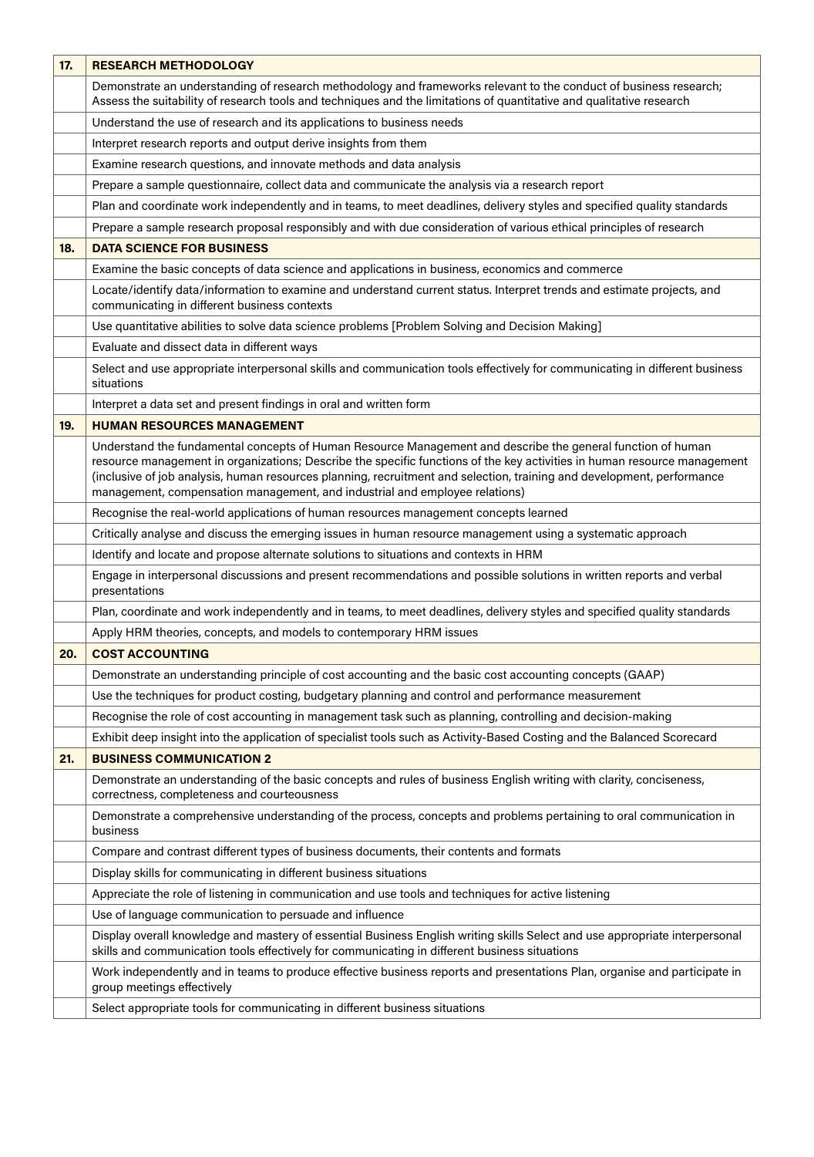| 17. | <b>RESEARCH METHODOLOGY</b>                                                                                                                                                                                                                                                                                                                                                                                                                      |
|-----|--------------------------------------------------------------------------------------------------------------------------------------------------------------------------------------------------------------------------------------------------------------------------------------------------------------------------------------------------------------------------------------------------------------------------------------------------|
|     | Demonstrate an understanding of research methodology and frameworks relevant to the conduct of business research;<br>Assess the suitability of research tools and techniques and the limitations of quantitative and qualitative research                                                                                                                                                                                                        |
|     | Understand the use of research and its applications to business needs                                                                                                                                                                                                                                                                                                                                                                            |
|     | Interpret research reports and output derive insights from them                                                                                                                                                                                                                                                                                                                                                                                  |
|     | Examine research questions, and innovate methods and data analysis                                                                                                                                                                                                                                                                                                                                                                               |
|     | Prepare a sample questionnaire, collect data and communicate the analysis via a research report                                                                                                                                                                                                                                                                                                                                                  |
|     | Plan and coordinate work independently and in teams, to meet deadlines, delivery styles and specified quality standards                                                                                                                                                                                                                                                                                                                          |
|     | Prepare a sample research proposal responsibly and with due consideration of various ethical principles of research                                                                                                                                                                                                                                                                                                                              |
| 18. | <b>DATA SCIENCE FOR BUSINESS</b>                                                                                                                                                                                                                                                                                                                                                                                                                 |
|     | Examine the basic concepts of data science and applications in business, economics and commerce                                                                                                                                                                                                                                                                                                                                                  |
|     | Locate/identify data/information to examine and understand current status. Interpret trends and estimate projects, and<br>communicating in different business contexts                                                                                                                                                                                                                                                                           |
|     | Use quantitative abilities to solve data science problems [Problem Solving and Decision Making]                                                                                                                                                                                                                                                                                                                                                  |
|     | Evaluate and dissect data in different ways                                                                                                                                                                                                                                                                                                                                                                                                      |
|     | Select and use appropriate interpersonal skills and communication tools effectively for communicating in different business<br>situations                                                                                                                                                                                                                                                                                                        |
|     | Interpret a data set and present findings in oral and written form                                                                                                                                                                                                                                                                                                                                                                               |
| 19. | <b>HUMAN RESOURCES MANAGEMENT</b>                                                                                                                                                                                                                                                                                                                                                                                                                |
|     | Understand the fundamental concepts of Human Resource Management and describe the general function of human<br>resource management in organizations; Describe the specific functions of the key activities in human resource management<br>(inclusive of job analysis, human resources planning, recruitment and selection, training and development, performance<br>management, compensation management, and industrial and employee relations) |
|     | Recognise the real-world applications of human resources management concepts learned                                                                                                                                                                                                                                                                                                                                                             |
|     | Critically analyse and discuss the emerging issues in human resource management using a systematic approach                                                                                                                                                                                                                                                                                                                                      |
|     | Identify and locate and propose alternate solutions to situations and contexts in HRM                                                                                                                                                                                                                                                                                                                                                            |
|     | Engage in interpersonal discussions and present recommendations and possible solutions in written reports and verbal<br>presentations                                                                                                                                                                                                                                                                                                            |
|     | Plan, coordinate and work independently and in teams, to meet deadlines, delivery styles and specified quality standards                                                                                                                                                                                                                                                                                                                         |
|     | Apply HRM theories, concepts, and models to contemporary HRM issues                                                                                                                                                                                                                                                                                                                                                                              |
| 20. | <b>COST ACCOUNTING</b>                                                                                                                                                                                                                                                                                                                                                                                                                           |
|     | Demonstrate an understanding principle of cost accounting and the basic cost accounting concepts (GAAP)                                                                                                                                                                                                                                                                                                                                          |
|     | Use the techniques for product costing, budgetary planning and control and performance measurement                                                                                                                                                                                                                                                                                                                                               |
|     | Recognise the role of cost accounting in management task such as planning, controlling and decision-making                                                                                                                                                                                                                                                                                                                                       |
|     | Exhibit deep insight into the application of specialist tools such as Activity-Based Costing and the Balanced Scorecard                                                                                                                                                                                                                                                                                                                          |
| 21. | <b>BUSINESS COMMUNICATION 2</b>                                                                                                                                                                                                                                                                                                                                                                                                                  |
|     | Demonstrate an understanding of the basic concepts and rules of business English writing with clarity, conciseness,<br>correctness, completeness and courteousness                                                                                                                                                                                                                                                                               |
|     | Demonstrate a comprehensive understanding of the process, concepts and problems pertaining to oral communication in<br>business                                                                                                                                                                                                                                                                                                                  |
|     | Compare and contrast different types of business documents, their contents and formats                                                                                                                                                                                                                                                                                                                                                           |
|     | Display skills for communicating in different business situations                                                                                                                                                                                                                                                                                                                                                                                |
|     | Appreciate the role of listening in communication and use tools and techniques for active listening                                                                                                                                                                                                                                                                                                                                              |
|     | Use of language communication to persuade and influence                                                                                                                                                                                                                                                                                                                                                                                          |
|     | Display overall knowledge and mastery of essential Business English writing skills Select and use appropriate interpersonal<br>skills and communication tools effectively for communicating in different business situations                                                                                                                                                                                                                     |
|     | Work independently and in teams to produce effective business reports and presentations Plan, organise and participate in<br>group meetings effectively                                                                                                                                                                                                                                                                                          |
|     | Select appropriate tools for communicating in different business situations                                                                                                                                                                                                                                                                                                                                                                      |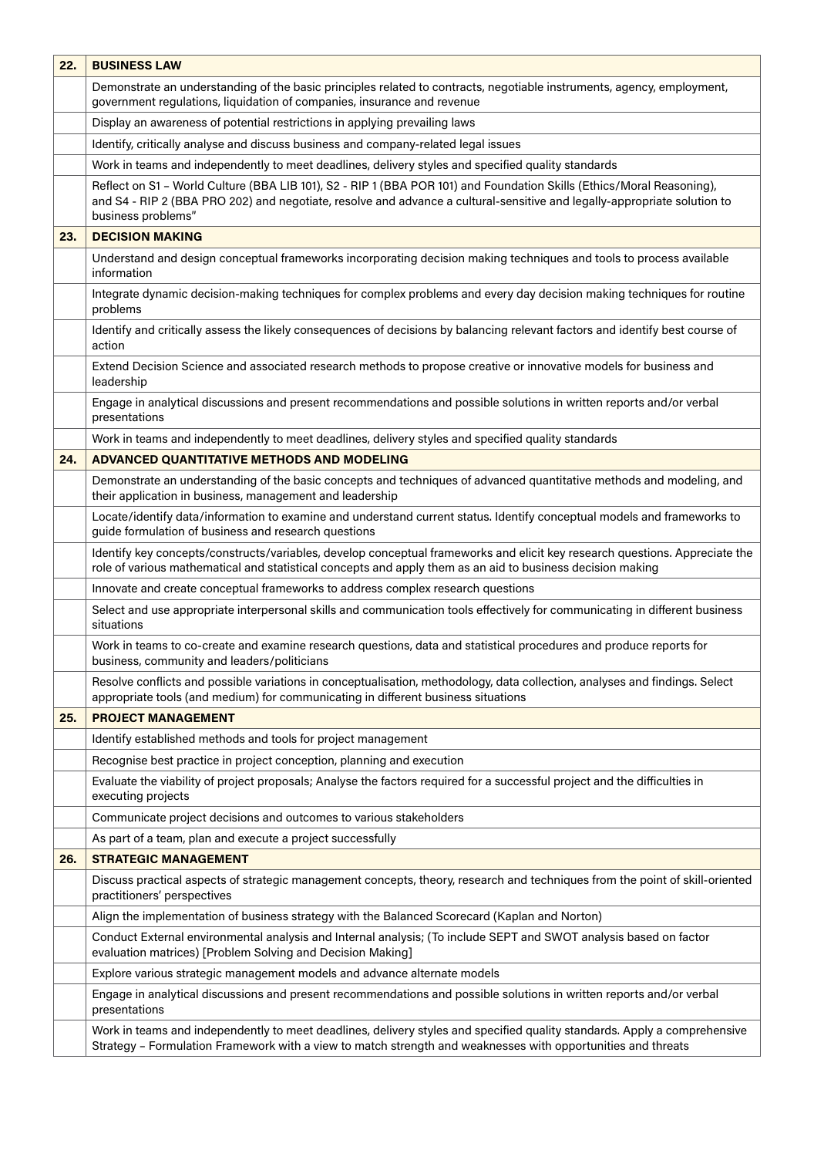| 22. | <b>BUSINESS LAW</b>                                                                                                                                                                                                                                                     |
|-----|-------------------------------------------------------------------------------------------------------------------------------------------------------------------------------------------------------------------------------------------------------------------------|
|     | Demonstrate an understanding of the basic principles related to contracts, negotiable instruments, agency, employment,<br>government regulations, liquidation of companies, insurance and revenue                                                                       |
|     | Display an awareness of potential restrictions in applying prevailing laws                                                                                                                                                                                              |
|     | Identify, critically analyse and discuss business and company-related legal issues                                                                                                                                                                                      |
|     | Work in teams and independently to meet deadlines, delivery styles and specified quality standards                                                                                                                                                                      |
|     | Reflect on S1 - World Culture (BBA LIB 101), S2 - RIP 1 (BBA POR 101) and Foundation Skills (Ethics/Moral Reasoning),<br>and S4 - RIP 2 (BBA PRO 202) and negotiate, resolve and advance a cultural-sensitive and legally-appropriate solution to<br>business problems" |
| 23. | <b>DECISION MAKING</b>                                                                                                                                                                                                                                                  |
|     | Understand and design conceptual frameworks incorporating decision making techniques and tools to process available<br>information                                                                                                                                      |
|     | Integrate dynamic decision-making techniques for complex problems and every day decision making techniques for routine<br>problems                                                                                                                                      |
|     | Identify and critically assess the likely consequences of decisions by balancing relevant factors and identify best course of<br>action                                                                                                                                 |
|     | Extend Decision Science and associated research methods to propose creative or innovative models for business and<br>leadership                                                                                                                                         |
|     | Engage in analytical discussions and present recommendations and possible solutions in written reports and/or verbal<br>presentations                                                                                                                                   |
|     | Work in teams and independently to meet deadlines, delivery styles and specified quality standards                                                                                                                                                                      |
| 24. | <b>ADVANCED QUANTITATIVE METHODS AND MODELING</b>                                                                                                                                                                                                                       |
|     | Demonstrate an understanding of the basic concepts and techniques of advanced quantitative methods and modeling, and<br>their application in business, management and leadership                                                                                        |
|     | Locate/identify data/information to examine and understand current status. Identify conceptual models and frameworks to<br>guide formulation of business and research questions                                                                                         |
|     | Identify key concepts/constructs/variables, develop conceptual frameworks and elicit key research questions. Appreciate the<br>role of various mathematical and statistical concepts and apply them as an aid to business decision making                               |
|     | Innovate and create conceptual frameworks to address complex research questions                                                                                                                                                                                         |
|     | Select and use appropriate interpersonal skills and communication tools effectively for communicating in different business<br>situations                                                                                                                               |
|     | Work in teams to co-create and examine research questions, data and statistical procedures and produce reports for<br>business, community and leaders/politicians                                                                                                       |
|     | Resolve conflicts and possible variations in conceptualisation, methodology, data collection, analyses and findings. Select<br>appropriate tools (and medium) for communicating in different business situations                                                        |
| 25. | <b>PROJECT MANAGEMENT</b>                                                                                                                                                                                                                                               |
|     | Identify established methods and tools for project management                                                                                                                                                                                                           |
|     | Recognise best practice in project conception, planning and execution                                                                                                                                                                                                   |
|     | Evaluate the viability of project proposals; Analyse the factors required for a successful project and the difficulties in<br>executing projects                                                                                                                        |
|     | Communicate project decisions and outcomes to various stakeholders                                                                                                                                                                                                      |
|     | As part of a team, plan and execute a project successfully                                                                                                                                                                                                              |
| 26. | <b>STRATEGIC MANAGEMENT</b>                                                                                                                                                                                                                                             |
|     | Discuss practical aspects of strategic management concepts, theory, research and techniques from the point of skill-oriented<br>practitioners' perspectives                                                                                                             |
|     | Align the implementation of business strategy with the Balanced Scorecard (Kaplan and Norton)                                                                                                                                                                           |
|     | Conduct External environmental analysis and Internal analysis; (To include SEPT and SWOT analysis based on factor<br>evaluation matrices) [Problem Solving and Decision Making]                                                                                         |
|     | Explore various strategic management models and advance alternate models                                                                                                                                                                                                |
|     | Engage in analytical discussions and present recommendations and possible solutions in written reports and/or verbal<br>presentations                                                                                                                                   |
|     | Work in teams and independently to meet deadlines, delivery styles and specified quality standards. Apply a comprehensive<br>Strategy - Formulation Framework with a view to match strength and weaknesses with opportunities and threats                               |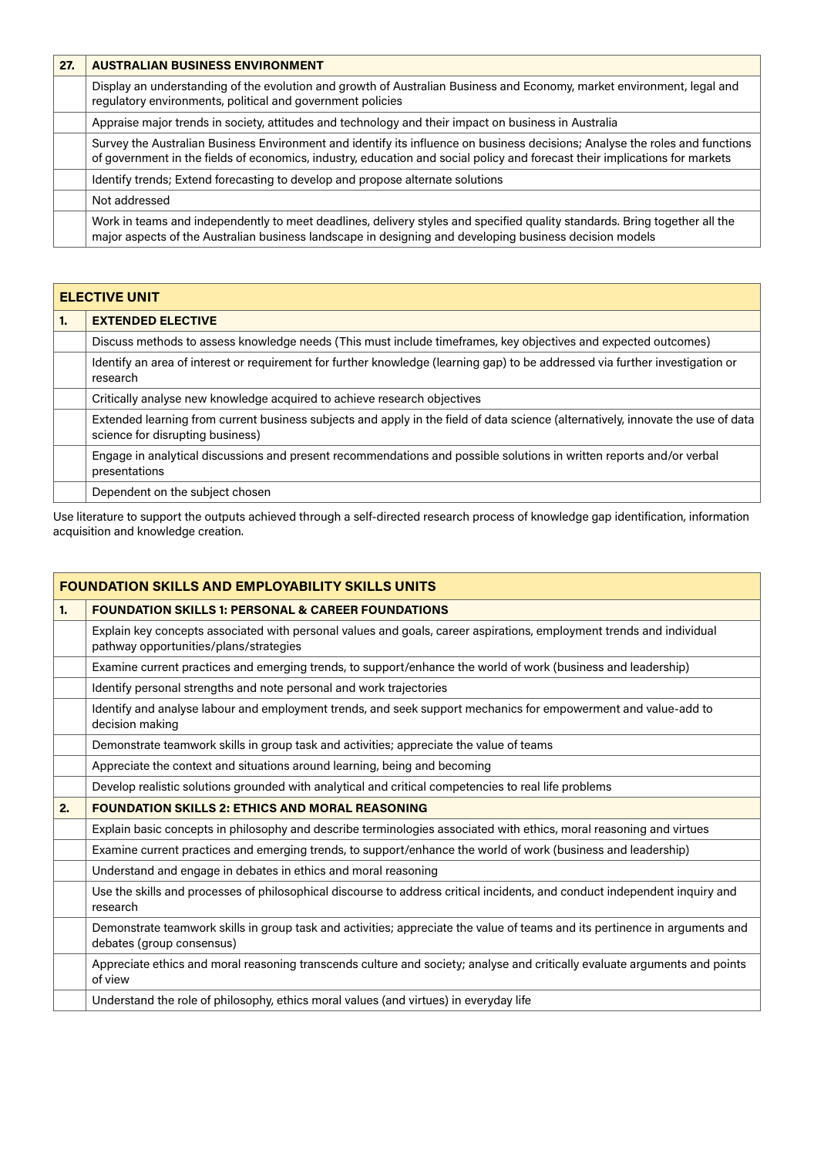| 27. | <b>AUSTRALIAN BUSINESS ENVIRONMENT</b>                                                                                                                                                                                                                      |
|-----|-------------------------------------------------------------------------------------------------------------------------------------------------------------------------------------------------------------------------------------------------------------|
|     | Display an understanding of the evolution and growth of Australian Business and Economy, market environment, legal and<br>regulatory environments, political and government policies                                                                        |
|     | Appraise major trends in society, attitudes and technology and their impact on business in Australia                                                                                                                                                        |
|     | Survey the Australian Business Environment and identify its influence on business decisions; Analyse the roles and functions<br>of government in the fields of economics, industry, education and social policy and forecast their implications for markets |
|     | Identify trends; Extend forecasting to develop and propose alternate solutions                                                                                                                                                                              |
|     | Not addressed                                                                                                                                                                                                                                               |
|     | Work in teams and independently to meet deadlines, delivery styles and specified quality standards. Bring together all the<br>major aspects of the Australian business landscape in designing and developing business decision models                       |

|    | <b>ELECTIVE UNIT</b>                                                                                                                                                 |  |
|----|----------------------------------------------------------------------------------------------------------------------------------------------------------------------|--|
| 1. | <b>EXTENDED ELECTIVE</b>                                                                                                                                             |  |
|    | Discuss methods to assess knowledge needs (This must include timeframes, key objectives and expected outcomes)                                                       |  |
|    | Identify an area of interest or requirement for further knowledge (learning gap) to be addressed via further investigation or<br>research                            |  |
|    | Critically analyse new knowledge acquired to achieve research objectives                                                                                             |  |
|    | Extended learning from current business subjects and apply in the field of data science (alternatively, innovate the use of data<br>science for disrupting business) |  |
|    | Engage in analytical discussions and present recommendations and possible solutions in written reports and/or verbal<br>presentations                                |  |
|    | Dependent on the subject chosen                                                                                                                                      |  |

Use literature to support the outputs achieved through a self-directed research process of knowledge gap identification, information acquisition and knowledge creation.

|    | <b>FOUNDATION SKILLS AND EMPLOYABILITY SKILLS UNITS</b>                                                                                                        |  |
|----|----------------------------------------------------------------------------------------------------------------------------------------------------------------|--|
| 1. | <b>FOUNDATION SKILLS 1: PERSONAL &amp; CAREER FOUNDATIONS</b>                                                                                                  |  |
|    | Explain key concepts associated with personal values and goals, career aspirations, employment trends and individual<br>pathway opportunities/plans/strategies |  |
|    | Examine current practices and emerging trends, to support/enhance the world of work (business and leadership)                                                  |  |
|    | Identify personal strengths and note personal and work trajectories                                                                                            |  |
|    | Identify and analyse labour and employment trends, and seek support mechanics for empowerment and value-add to<br>decision making                              |  |
|    | Demonstrate teamwork skills in group task and activities; appreciate the value of teams                                                                        |  |
|    | Appreciate the context and situations around learning, being and becoming                                                                                      |  |
|    | Develop realistic solutions grounded with analytical and critical competencies to real life problems                                                           |  |
| 2. | <b>FOUNDATION SKILLS 2: ETHICS AND MORAL REASONING</b>                                                                                                         |  |
|    | Explain basic concepts in philosophy and describe terminologies associated with ethics, moral reasoning and virtues                                            |  |
|    | Examine current practices and emerging trends, to support/enhance the world of work (business and leadership)                                                  |  |
|    | Understand and engage in debates in ethics and moral reasoning                                                                                                 |  |
|    | Use the skills and processes of philosophical discourse to address critical incidents, and conduct independent inquiry and<br>research                         |  |
|    | Demonstrate teamwork skills in group task and activities; appreciate the value of teams and its pertinence in arguments and<br>debates (group consensus)       |  |
|    | Appreciate ethics and moral reasoning transcends culture and society; analyse and critically evaluate arguments and points<br>of view                          |  |
|    | Understand the role of philosophy, ethics moral values (and virtues) in everyday life                                                                          |  |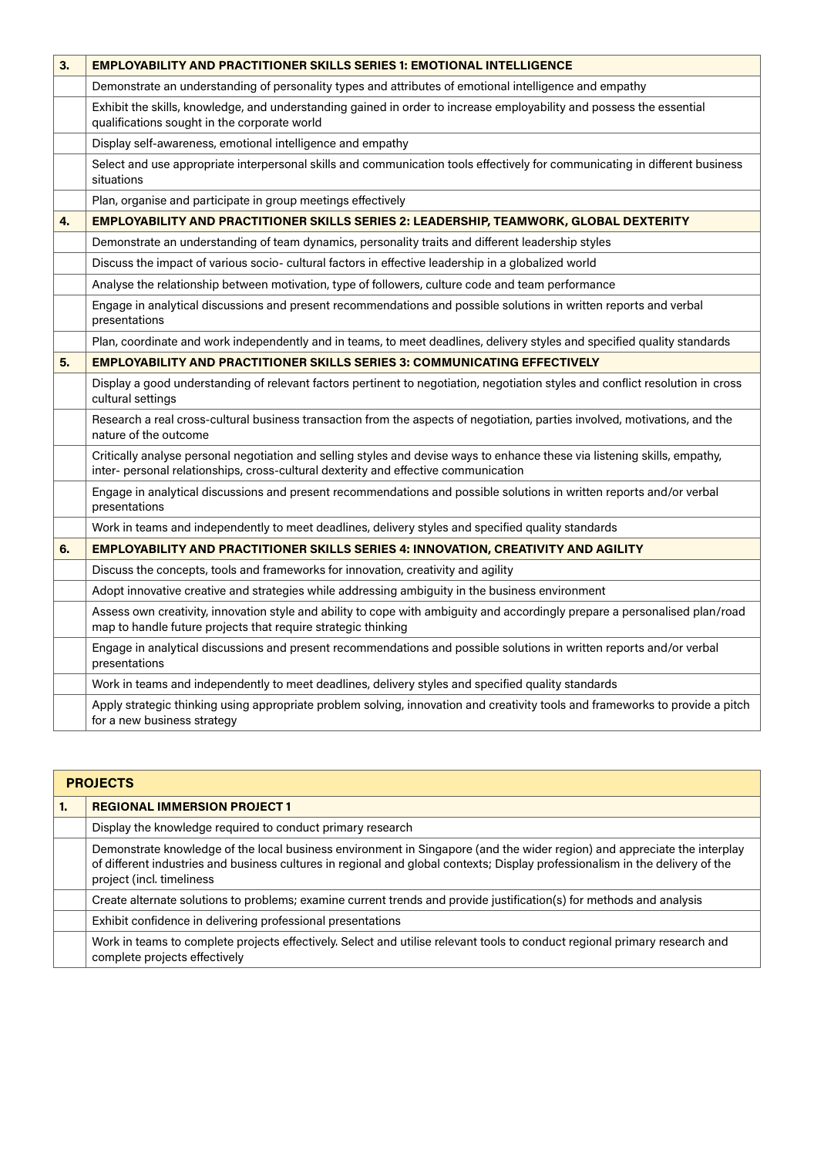| 3. | <b>EMPLOYABILITY AND PRACTITIONER SKILLS SERIES 1: EMOTIONAL INTELLIGENCE</b>                                                                                                                                     |
|----|-------------------------------------------------------------------------------------------------------------------------------------------------------------------------------------------------------------------|
|    | Demonstrate an understanding of personality types and attributes of emotional intelligence and empathy                                                                                                            |
|    | Exhibit the skills, knowledge, and understanding gained in order to increase employability and possess the essential<br>qualifications sought in the corporate world                                              |
|    | Display self-awareness, emotional intelligence and empathy                                                                                                                                                        |
|    | Select and use appropriate interpersonal skills and communication tools effectively for communicating in different business<br>situations                                                                         |
|    | Plan, organise and participate in group meetings effectively                                                                                                                                                      |
| 4. | EMPLOYABILITY AND PRACTITIONER SKILLS SERIES 2: LEADERSHIP, TEAMWORK, GLOBAL DEXTERITY                                                                                                                            |
|    | Demonstrate an understanding of team dynamics, personality traits and different leadership styles                                                                                                                 |
|    | Discuss the impact of various socio- cultural factors in effective leadership in a globalized world                                                                                                               |
|    | Analyse the relationship between motivation, type of followers, culture code and team performance                                                                                                                 |
|    | Engage in analytical discussions and present recommendations and possible solutions in written reports and verbal<br>presentations                                                                                |
|    | Plan, coordinate and work independently and in teams, to meet deadlines, delivery styles and specified quality standards                                                                                          |
| 5. | <b>EMPLOYABILITY AND PRACTITIONER SKILLS SERIES 3: COMMUNICATING EFFECTIVELY</b>                                                                                                                                  |
|    | Display a good understanding of relevant factors pertinent to negotiation, negotiation styles and conflict resolution in cross<br>cultural settings                                                               |
|    | Research a real cross-cultural business transaction from the aspects of negotiation, parties involved, motivations, and the<br>nature of the outcome                                                              |
|    | Critically analyse personal negotiation and selling styles and devise ways to enhance these via listening skills, empathy,<br>inter- personal relationships, cross-cultural dexterity and effective communication |
|    | Engage in analytical discussions and present recommendations and possible solutions in written reports and/or verbal<br>presentations                                                                             |
|    | Work in teams and independently to meet deadlines, delivery styles and specified quality standards                                                                                                                |
| 6. | EMPLOYABILITY AND PRACTITIONER SKILLS SERIES 4: INNOVATION, CREATIVITY AND AGILITY                                                                                                                                |
|    | Discuss the concepts, tools and frameworks for innovation, creativity and agility                                                                                                                                 |
|    | Adopt innovative creative and strategies while addressing ambiguity in the business environment                                                                                                                   |
|    | Assess own creativity, innovation style and ability to cope with ambiguity and accordingly prepare a personalised plan/road<br>map to handle future projects that require strategic thinking                      |
|    | Engage in analytical discussions and present recommendations and possible solutions in written reports and/or verbal<br>presentations                                                                             |
|    | Work in teams and independently to meet deadlines, delivery styles and specified quality standards                                                                                                                |
|    | Apply strategic thinking using appropriate problem solving, innovation and creativity tools and frameworks to provide a pitch<br>for a new business strategy                                                      |

| <b>PROJECTS</b>                                                                                                                                                                                                                                                                        |  |
|----------------------------------------------------------------------------------------------------------------------------------------------------------------------------------------------------------------------------------------------------------------------------------------|--|
| <b>REGIONAL IMMERSION PROJECT 1</b>                                                                                                                                                                                                                                                    |  |
| Display the knowledge required to conduct primary research                                                                                                                                                                                                                             |  |
| Demonstrate knowledge of the local business environment in Singapore (and the wider region) and appreciate the interplay<br>of different industries and business cultures in regional and global contexts; Display professionalism in the delivery of the<br>project (incl. timeliness |  |
| Create alternate solutions to problems; examine current trends and provide justification(s) for methods and analysis                                                                                                                                                                   |  |
| Exhibit confidence in delivering professional presentations                                                                                                                                                                                                                            |  |
| Work in teams to complete projects effectively. Select and utilise relevant tools to conduct regional primary research and<br>complete projects effectively                                                                                                                            |  |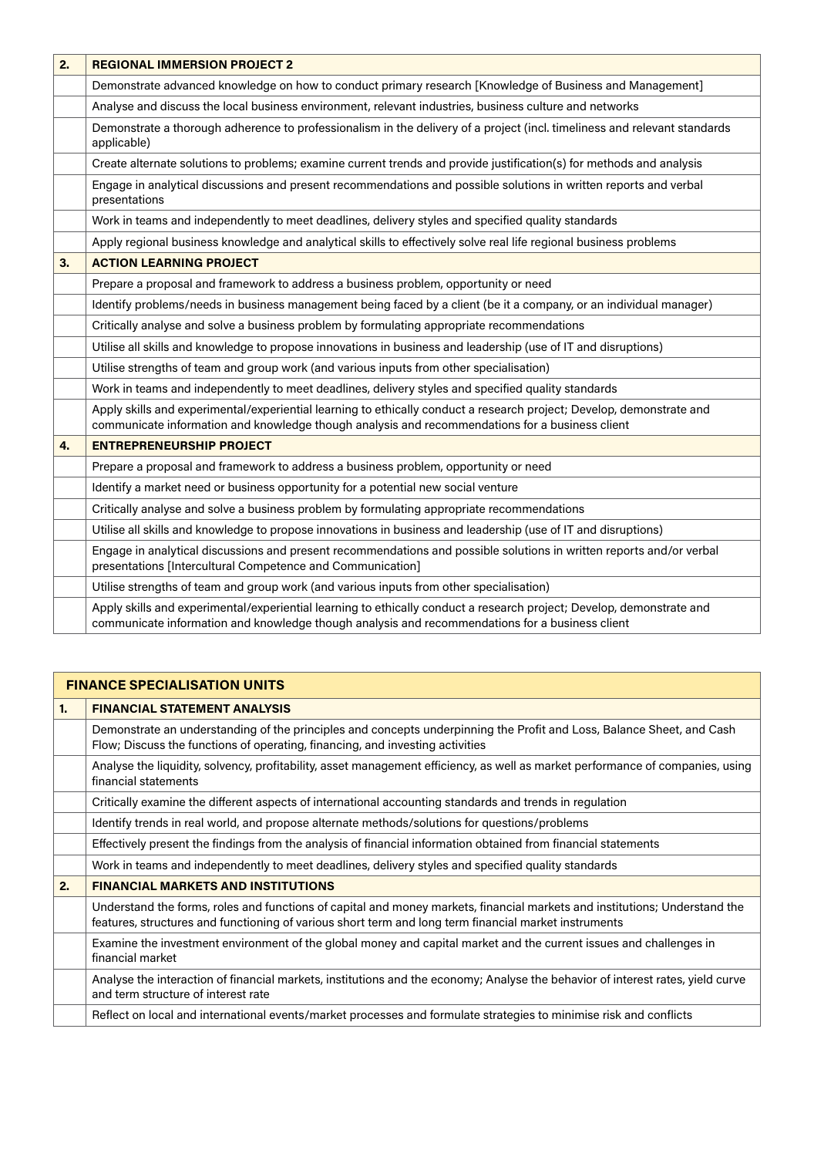| 2. | <b>REGIONAL IMMERSION PROJECT 2</b>                                                                                                                                                                                      |
|----|--------------------------------------------------------------------------------------------------------------------------------------------------------------------------------------------------------------------------|
|    | Demonstrate advanced knowledge on how to conduct primary research [Knowledge of Business and Management]                                                                                                                 |
|    | Analyse and discuss the local business environment, relevant industries, business culture and networks                                                                                                                   |
|    | Demonstrate a thorough adherence to professionalism in the delivery of a project (incl. timeliness and relevant standards<br>applicable)                                                                                 |
|    | Create alternate solutions to problems; examine current trends and provide justification(s) for methods and analysis                                                                                                     |
|    | Engage in analytical discussions and present recommendations and possible solutions in written reports and verbal<br>presentations                                                                                       |
|    | Work in teams and independently to meet deadlines, delivery styles and specified quality standards                                                                                                                       |
|    | Apply regional business knowledge and analytical skills to effectively solve real life regional business problems                                                                                                        |
| 3. | <b>ACTION LEARNING PROJECT</b>                                                                                                                                                                                           |
|    | Prepare a proposal and framework to address a business problem, opportunity or need                                                                                                                                      |
|    | Identify problems/needs in business management being faced by a client (be it a company, or an individual manager)                                                                                                       |
|    | Critically analyse and solve a business problem by formulating appropriate recommendations                                                                                                                               |
|    | Utilise all skills and knowledge to propose innovations in business and leadership (use of IT and disruptions)                                                                                                           |
|    | Utilise strengths of team and group work (and various inputs from other specialisation)                                                                                                                                  |
|    | Work in teams and independently to meet deadlines, delivery styles and specified quality standards                                                                                                                       |
|    | Apply skills and experimental/experiential learning to ethically conduct a research project; Develop, demonstrate and<br>communicate information and knowledge though analysis and recommendations for a business client |
| 4. | <b>ENTREPRENEURSHIP PROJECT</b>                                                                                                                                                                                          |
|    | Prepare a proposal and framework to address a business problem, opportunity or need                                                                                                                                      |
|    | Identify a market need or business opportunity for a potential new social venture                                                                                                                                        |
|    | Critically analyse and solve a business problem by formulating appropriate recommendations                                                                                                                               |
|    | Utilise all skills and knowledge to propose innovations in business and leadership (use of IT and disruptions)                                                                                                           |
|    | Engage in analytical discussions and present recommendations and possible solutions in written reports and/or verbal<br>presentations [Intercultural Competence and Communication]                                       |
|    | Utilise strengths of team and group work (and various inputs from other specialisation)                                                                                                                                  |
|    | Apply skills and experimental/experiential learning to ethically conduct a research project; Develop, demonstrate and<br>communicate information and knowledge though analysis and recommendations for a business client |

## **FINANCE SPECIALISATION UNITS 1. FINANCIAL STATEMENT ANALYSIS** Demonstrate an understanding of the principles and concepts underpinning the Profit and Loss, Balance Sheet, and Cash Flow; Discuss the functions of operating, financing, and investing activities Analyse the liquidity, solvency, profitability, asset management efficiency, as well as market performance of companies, using financial statements Critically examine the different aspects of international accounting standards and trends in regulation Identify trends in real world, and propose alternate methods/solutions for questions/problems Effectively present the findings from the analysis of financial information obtained from financial statements Work in teams and independently to meet deadlines, delivery styles and specified quality standards **2. FINANCIAL MARKETS AND INSTITUTIONS** Understand the forms, roles and functions of capital and money markets, financial markets and institutions; Understand the features, structures and functioning of various short term and long term financial market instruments Examine the investment environment of the global money and capital market and the current issues and challenges in financial market Analyse the interaction of financial markets, institutions and the economy; Analyse the behavior of interest rates, yield curve and term structure of interest rate Reflect on local and international events/market processes and formulate strategies to minimise risk and conflicts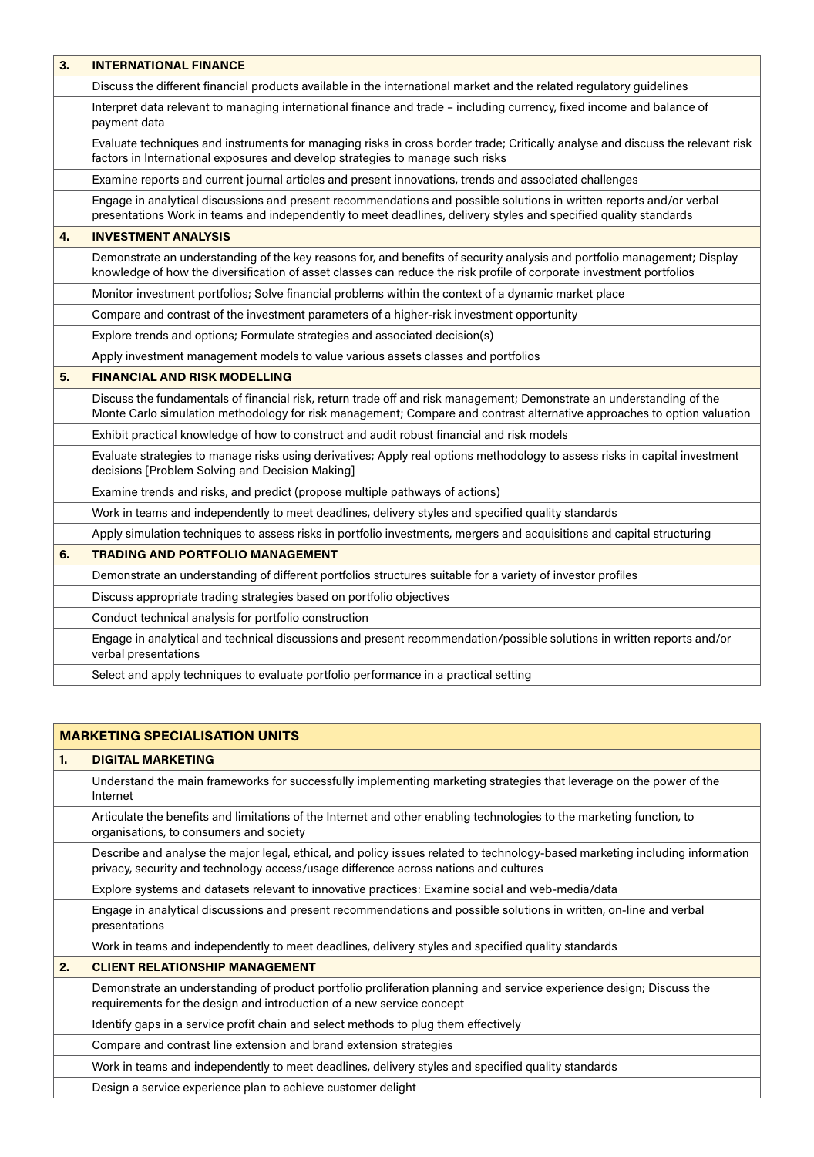| 3. | <b>INTERNATIONAL FINANCE</b>                                                                                                                                                                                                                     |
|----|--------------------------------------------------------------------------------------------------------------------------------------------------------------------------------------------------------------------------------------------------|
|    | Discuss the different financial products available in the international market and the related regulatory guidelines                                                                                                                             |
|    | Interpret data relevant to managing international finance and trade – including currency, fixed income and balance of<br>payment data                                                                                                            |
|    | Evaluate techniques and instruments for managing risks in cross border trade; Critically analyse and discuss the relevant risk<br>factors in International exposures and develop strategies to manage such risks                                 |
|    | Examine reports and current journal articles and present innovations, trends and associated challenges                                                                                                                                           |
|    | Engage in analytical discussions and present recommendations and possible solutions in written reports and/or verbal<br>presentations Work in teams and independently to meet deadlines, delivery styles and specified quality standards         |
| 4. | <b>INVESTMENT ANALYSIS</b>                                                                                                                                                                                                                       |
|    | Demonstrate an understanding of the key reasons for, and benefits of security analysis and portfolio management; Display<br>knowledge of how the diversification of asset classes can reduce the risk profile of corporate investment portfolios |
|    | Monitor investment portfolios; Solve financial problems within the context of a dynamic market place                                                                                                                                             |
|    | Compare and contrast of the investment parameters of a higher-risk investment opportunity                                                                                                                                                        |
|    | Explore trends and options; Formulate strategies and associated decision(s)                                                                                                                                                                      |
|    | Apply investment management models to value various assets classes and portfolios                                                                                                                                                                |
| 5. | <b>FINANCIAL AND RISK MODELLING</b>                                                                                                                                                                                                              |
|    | Discuss the fundamentals of financial risk, return trade off and risk management; Demonstrate an understanding of the<br>Monte Carlo simulation methodology for risk management; Compare and contrast alternative approaches to option valuation |
|    | Exhibit practical knowledge of how to construct and audit robust financial and risk models                                                                                                                                                       |
|    | Evaluate strategies to manage risks using derivatives; Apply real options methodology to assess risks in capital investment<br>decisions [Problem Solving and Decision Making]                                                                   |
|    | Examine trends and risks, and predict (propose multiple pathways of actions)                                                                                                                                                                     |
|    | Work in teams and independently to meet deadlines, delivery styles and specified quality standards                                                                                                                                               |
|    | Apply simulation techniques to assess risks in portfolio investments, mergers and acquisitions and capital structuring                                                                                                                           |
| 6. | <b>TRADING AND PORTFOLIO MANAGEMENT</b>                                                                                                                                                                                                          |
|    | Demonstrate an understanding of different portfolios structures suitable for a variety of investor profiles                                                                                                                                      |
|    | Discuss appropriate trading strategies based on portfolio objectives                                                                                                                                                                             |
|    | Conduct technical analysis for portfolio construction                                                                                                                                                                                            |
|    | Engage in analytical and technical discussions and present recommendation/possible solutions in written reports and/or<br>verbal presentations                                                                                                   |
|    | Select and apply techniques to evaluate portfolio performance in a practical setting                                                                                                                                                             |

| <b>MARKETING SPECIALISATION UNITS</b> |                                                                                                                                                                                                                      |  |
|---------------------------------------|----------------------------------------------------------------------------------------------------------------------------------------------------------------------------------------------------------------------|--|
| 1.                                    | <b>DIGITAL MARKETING</b>                                                                                                                                                                                             |  |
|                                       | Understand the main frameworks for successfully implementing marketing strategies that leverage on the power of the<br>Internet                                                                                      |  |
|                                       | Articulate the benefits and limitations of the Internet and other enabling technologies to the marketing function, to<br>organisations, to consumers and society                                                     |  |
|                                       | Describe and analyse the major legal, ethical, and policy issues related to technology-based marketing including information<br>privacy, security and technology access/usage difference across nations and cultures |  |
|                                       | Explore systems and datasets relevant to innovative practices: Examine social and web-media/data                                                                                                                     |  |
|                                       | Engage in analytical discussions and present recommendations and possible solutions in written, on-line and verbal<br>presentations                                                                                  |  |
|                                       | Work in teams and independently to meet deadlines, delivery styles and specified quality standards                                                                                                                   |  |
| 2.                                    | <b>CLIENT RELATIONSHIP MANAGEMENT</b>                                                                                                                                                                                |  |
|                                       | Demonstrate an understanding of product portfolio proliferation planning and service experience design; Discuss the<br>requirements for the design and introduction of a new service concept                         |  |
|                                       | Identify gaps in a service profit chain and select methods to plug them effectively                                                                                                                                  |  |
|                                       | Compare and contrast line extension and brand extension strategies                                                                                                                                                   |  |
|                                       | Work in teams and independently to meet deadlines, delivery styles and specified quality standards                                                                                                                   |  |
|                                       | Design a service experience plan to achieve customer delight                                                                                                                                                         |  |
|                                       |                                                                                                                                                                                                                      |  |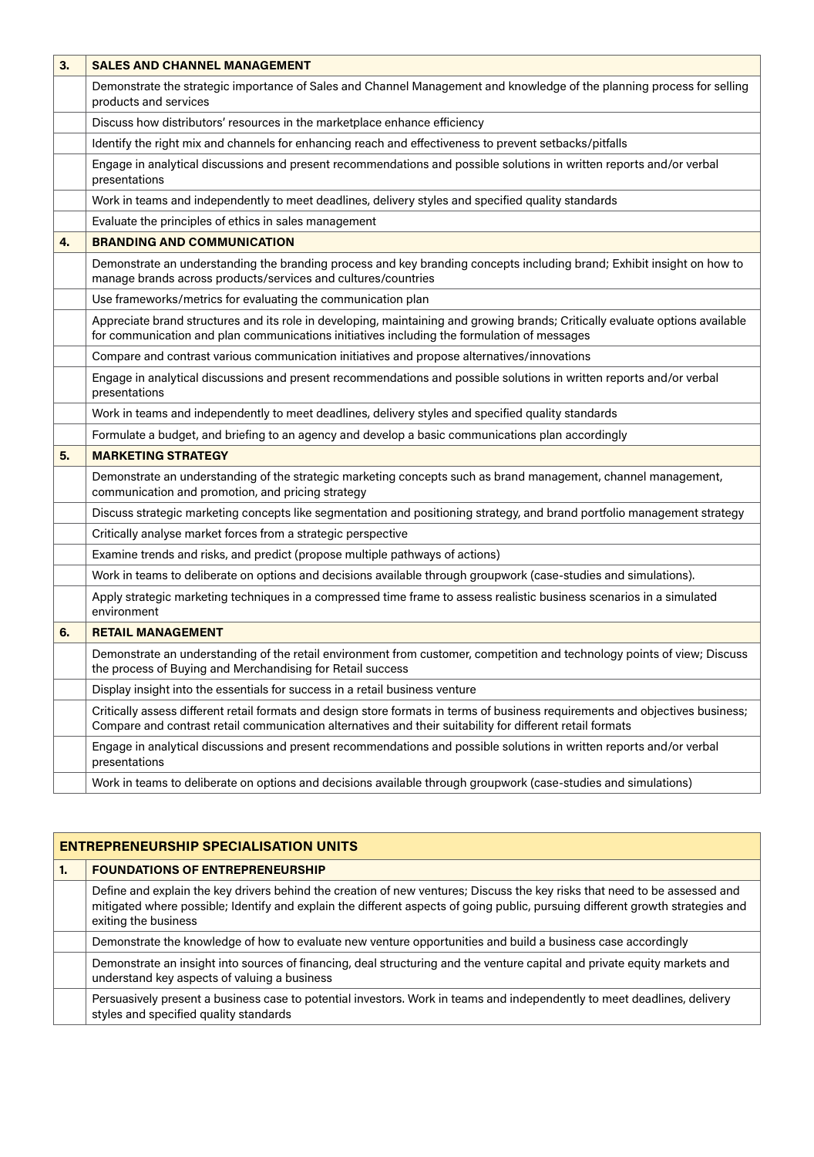| 3. | <b>SALES AND CHANNEL MANAGEMENT</b>                                                                                                                                                                                                         |
|----|---------------------------------------------------------------------------------------------------------------------------------------------------------------------------------------------------------------------------------------------|
|    | Demonstrate the strategic importance of Sales and Channel Management and knowledge of the planning process for selling<br>products and services                                                                                             |
|    | Discuss how distributors' resources in the marketplace enhance efficiency                                                                                                                                                                   |
|    | Identify the right mix and channels for enhancing reach and effectiveness to prevent setbacks/pitfalls                                                                                                                                      |
|    | Engage in analytical discussions and present recommendations and possible solutions in written reports and/or verbal<br>presentations                                                                                                       |
|    | Work in teams and independently to meet deadlines, delivery styles and specified quality standards                                                                                                                                          |
|    | Evaluate the principles of ethics in sales management                                                                                                                                                                                       |
| 4. | <b>BRANDING AND COMMUNICATION</b>                                                                                                                                                                                                           |
|    | Demonstrate an understanding the branding process and key branding concepts including brand; Exhibit insight on how to<br>manage brands across products/services and cultures/countries                                                     |
|    | Use frameworks/metrics for evaluating the communication plan                                                                                                                                                                                |
|    | Appreciate brand structures and its role in developing, maintaining and growing brands; Critically evaluate options available<br>for communication and plan communications initiatives including the formulation of messages                |
|    | Compare and contrast various communication initiatives and propose alternatives/innovations                                                                                                                                                 |
|    | Engage in analytical discussions and present recommendations and possible solutions in written reports and/or verbal<br>presentations                                                                                                       |
|    | Work in teams and independently to meet deadlines, delivery styles and specified quality standards                                                                                                                                          |
|    | Formulate a budget, and briefing to an agency and develop a basic communications plan accordingly                                                                                                                                           |
| 5. | <b>MARKETING STRATEGY</b>                                                                                                                                                                                                                   |
|    | Demonstrate an understanding of the strategic marketing concepts such as brand management, channel management,<br>communication and promotion, and pricing strategy                                                                         |
|    | Discuss strategic marketing concepts like segmentation and positioning strategy, and brand portfolio management strategy                                                                                                                    |
|    | Critically analyse market forces from a strategic perspective                                                                                                                                                                               |
|    | Examine trends and risks, and predict (propose multiple pathways of actions)                                                                                                                                                                |
|    | Work in teams to deliberate on options and decisions available through groupwork (case-studies and simulations).                                                                                                                            |
|    | Apply strategic marketing techniques in a compressed time frame to assess realistic business scenarios in a simulated<br>environment                                                                                                        |
| 6. | <b>RETAIL MANAGEMENT</b>                                                                                                                                                                                                                    |
|    | Demonstrate an understanding of the retail environment from customer, competition and technology points of view; Discuss<br>the process of Buying and Merchandising for Retail success                                                      |
|    | Display insight into the essentials for success in a retail business venture                                                                                                                                                                |
|    | Critically assess different retail formats and design store formats in terms of business requirements and objectives business;<br>Compare and contrast retail communication alternatives and their suitability for different retail formats |
|    | Engage in analytical discussions and present recommendations and possible solutions in written reports and/or verbal<br>presentations                                                                                                       |
|    | Work in teams to deliberate on options and decisions available through groupwork (case-studies and simulations)                                                                                                                             |

| <b>ENTREPRENEURSHIP SPECIALISATION UNITS</b> |                                                                                                                                                                                                                                                                                      |  |
|----------------------------------------------|--------------------------------------------------------------------------------------------------------------------------------------------------------------------------------------------------------------------------------------------------------------------------------------|--|
| 1.                                           | <b>FOUNDATIONS OF ENTREPRENEURSHIP</b>                                                                                                                                                                                                                                               |  |
|                                              | Define and explain the key drivers behind the creation of new ventures; Discuss the key risks that need to be assessed and<br>mitigated where possible; Identify and explain the different aspects of going public, pursuing different growth strategies and<br>exiting the business |  |
|                                              | Demonstrate the knowledge of how to evaluate new venture opportunities and build a business case accordingly                                                                                                                                                                         |  |
|                                              | Demonstrate an insight into sources of financing, deal structuring and the venture capital and private equity markets and<br>understand key aspects of valuing a business                                                                                                            |  |
|                                              | Persuasively present a business case to potential investors. Work in teams and independently to meet deadlines, delivery<br>styles and specified quality standards                                                                                                                   |  |